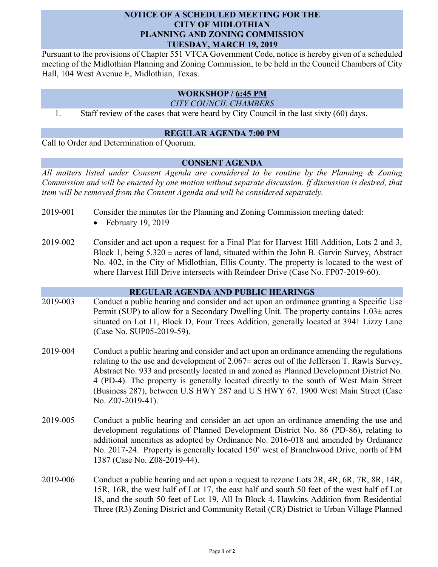# **NOTICE OF A SCHEDULED MEETING FOR THE CITY OF MIDLOTHIAN PLANNING AND ZONING COMMISSION TUESDAY, MARCH 19, 2019**

Pursuant to the provisions of Chapter 551 VTCA Government Code, notice is hereby given of a scheduled meeting of the Midlothian Planning and Zoning Commission, to be held in the Council Chambers of City Hall, 104 West Avenue E, Midlothian, Texas.

# **WORKSHOP / 6:45 PM**

*CITY COUNCIL CHAMBERS*

1. Staff review of the cases that were heard by City Council in the last sixty (60) days.

### **REGULAR AGENDA 7:00 PM**

Call to Order and Determination of Quorum.

## **CONSENT AGENDA**

*All matters listed under Consent Agenda are considered to be routine by the Planning & Zoning Commission and will be enacted by one motion without separate discussion. If discussion is desired, that item will be removed from the Consent Agenda and will be considered separately.*

- 2019-001 Consider the minutes for the Planning and Zoning Commission meeting dated:
	- $\bullet$  February 19, 2019
- 2019-002 Consider and act upon a request for a Final Plat for Harvest Hill Addition, Lots 2 and 3, Block 1, being  $5.320 \pm \text{acres}$  of land, situated within the John B. Garvin Survey, Abstract No. 402, in the City of Midlothian, Ellis County. The property is located to the west of where Harvest Hill Drive intersects with Reindeer Drive (Case No. FP07-2019-60).

### **REGULAR AGENDA AND PUBLIC HEARINGS**

- 2019-003 Conduct a public hearing and consider and act upon an ordinance granting a Specific Use Permit (SUP) to allow for a Secondary Dwelling Unit. The property contains  $1.03\pm$  acres situated on Lot 11, Block D, Four Trees Addition, generally located at 3941 Lizzy Lane (Case No. SUP05-2019-59).
- 2019-004 Conduct a public hearing and consider and act upon an ordinance amending the regulations relating to the use and development of  $2.067\pm$  acres out of the Jefferson T. Rawls Survey, Abstract No. 933 and presently located in and zoned as Planned Development District No. 4 (PD-4). The property is generally located directly to the south of West Main Street (Business 287), between U.S HWY 287 and U.S HWY 67. 1900 West Main Street (Case No. Z07-2019-41).
- 2019-005 Conduct a public hearing and consider an act upon an ordinance amending the use and development regulations of Planned Development District No. 86 (PD-86), relating to additional amenities as adopted by Ordinance No. 2016-018 and amended by Ordinance No. 2017-24. Property is generally located 150' west of Branchwood Drive, north of FM 1387 (Case No. Z08-2019-44).
- 2019-006 Conduct a public hearing and act upon a request to rezone Lots 2R, 4R, 6R, 7R, 8R, 14R, 15R, 16R, the west half of Lot 17, the east half and south 50 feet of the west half of Lot 18, and the south 50 feet of Lot 19, All In Block 4, Hawkins Addition from Residential Three (R3) Zoning District and Community Retail (CR) District to Urban Village Planned